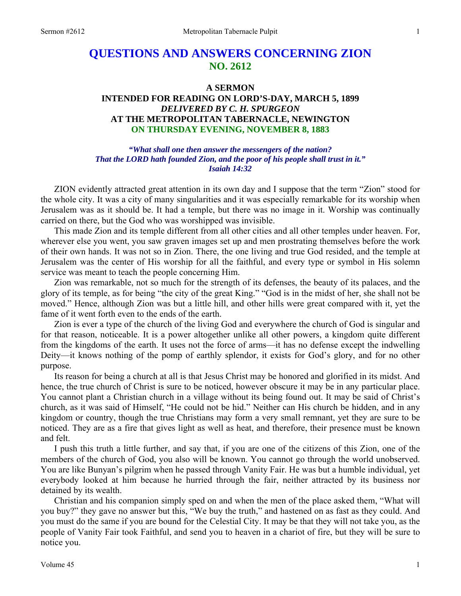# **QUESTIONS AND ANSWERS CONCERNING ZION NO. 2612**

### **A SERMON**

## **INTENDED FOR READING ON LORD'S-DAY, MARCH 5, 1899**  *DELIVERED BY C. H. SPURGEON*  **AT THE METROPOLITAN TABERNACLE, NEWINGTON ON THURSDAY EVENING, NOVEMBER 8, 1883**

*"What shall one then answer the messengers of the nation? That the LORD hath founded Zion, and the poor of his people shall trust in it." Isaiah 14:32* 

ZION evidently attracted great attention in its own day and I suppose that the term "Zion" stood for the whole city. It was a city of many singularities and it was especially remarkable for its worship when Jerusalem was as it should be. It had a temple, but there was no image in it. Worship was continually carried on there, but the God who was worshipped was invisible.

 This made Zion and its temple different from all other cities and all other temples under heaven. For, wherever else you went, you saw graven images set up and men prostrating themselves before the work of their own hands. It was not so in Zion. There, the one living and true God resided, and the temple at Jerusalem was the center of His worship for all the faithful, and every type or symbol in His solemn service was meant to teach the people concerning Him.

 Zion was remarkable, not so much for the strength of its defenses, the beauty of its palaces, and the glory of its temple, as for being "the city of the great King." "God is in the midst of her, she shall not be moved." Hence, although Zion was but a little hill, and other hills were great compared with it, yet the fame of it went forth even to the ends of the earth.

 Zion is ever a type of the church of the living God and everywhere the church of God is singular and for that reason, noticeable. It is a power altogether unlike all other powers, a kingdom quite different from the kingdoms of the earth. It uses not the force of arms—it has no defense except the indwelling Deity—it knows nothing of the pomp of earthly splendor, it exists for God's glory, and for no other purpose.

 Its reason for being a church at all is that Jesus Christ may be honored and glorified in its midst. And hence, the true church of Christ is sure to be noticed, however obscure it may be in any particular place. You cannot plant a Christian church in a village without its being found out. It may be said of Christ's church, as it was said of Himself, "He could not be hid." Neither can His church be hidden, and in any kingdom or country, though the true Christians may form a very small remnant, yet they are sure to be noticed. They are as a fire that gives light as well as heat, and therefore, their presence must be known and felt.

 I push this truth a little further, and say that, if you are one of the citizens of this Zion, one of the members of the church of God, you also will be known. You cannot go through the world unobserved. You are like Bunyan's pilgrim when he passed through Vanity Fair. He was but a humble individual, yet everybody looked at him because he hurried through the fair, neither attracted by its business nor detained by its wealth.

 Christian and his companion simply sped on and when the men of the place asked them, "What will you buy?" they gave no answer but this, "We buy the truth," and hastened on as fast as they could. And you must do the same if you are bound for the Celestial City. It may be that they will not take you, as the people of Vanity Fair took Faithful, and send you to heaven in a chariot of fire, but they will be sure to notice you.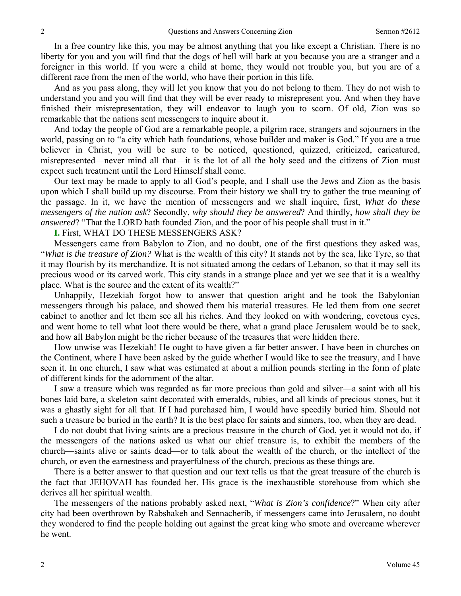In a free country like this, you may be almost anything that you like except a Christian. There is no liberty for you and you will find that the dogs of hell will bark at you because you are a stranger and a foreigner in this world. If you were a child at home, they would not trouble you, but you are of a different race from the men of the world, who have their portion in this life.

 And as you pass along, they will let you know that you do not belong to them. They do not wish to understand you and you will find that they will be ever ready to misrepresent you. And when they have finished their misrepresentation, they will endeavor to laugh you to scorn. Of old, Zion was so remarkable that the nations sent messengers to inquire about it.

 And today the people of God are a remarkable people, a pilgrim race, strangers and sojourners in the world, passing on to "a city which hath foundations, whose builder and maker is God." If you are a true believer in Christ, you will be sure to be noticed, questioned, quizzed, criticized, caricatured, misrepresented—never mind all that—it is the lot of all the holy seed and the citizens of Zion must expect such treatment until the Lord Himself shall come.

 Our text may be made to apply to all God's people, and I shall use the Jews and Zion as the basis upon which I shall build up my discourse. From their history we shall try to gather the true meaning of the passage. In it, we have the mention of messengers and we shall inquire, first, *What do these messengers of the nation ask*? Secondly, *why should they be answered*? And thirdly, *how shall they be answered*? "That the LORD hath founded Zion, and the poor of his people shall trust in it."

#### **I.** First, WHAT DO THESE MESSENGERS ASK?

 Messengers came from Babylon to Zion, and no doubt, one of the first questions they asked was, "*What is the treasure of Zion?* What is the wealth of this city? It stands not by the sea, like Tyre, so that it may flourish by its merchandize. It is not situated among the cedars of Lebanon, so that it may sell its precious wood or its carved work. This city stands in a strange place and yet we see that it is a wealthy place. What is the source and the extent of its wealth?"

 Unhappily, Hezekiah forgot how to answer that question aright and he took the Babylonian messengers through his palace, and showed them his material treasures. He led them from one secret cabinet to another and let them see all his riches. And they looked on with wondering, covetous eyes, and went home to tell what loot there would be there, what a grand place Jerusalem would be to sack, and how all Babylon might be the richer because of the treasures that were hidden there.

 How unwise was Hezekiah! He ought to have given a far better answer. I have been in churches on the Continent, where I have been asked by the guide whether I would like to see the treasury, and I have seen it. In one church, I saw what was estimated at about a million pounds sterling in the form of plate of different kinds for the adornment of the altar.

 I saw a treasure which was regarded as far more precious than gold and silver—a saint with all his bones laid bare, a skeleton saint decorated with emeralds, rubies, and all kinds of precious stones, but it was a ghastly sight for all that. If I had purchased him, I would have speedily buried him. Should not such a treasure be buried in the earth? It is the best place for saints and sinners, too, when they are dead.

 I do not doubt that living saints are a precious treasure in the church of God, yet it would not do, if the messengers of the nations asked us what our chief treasure is, to exhibit the members of the church—saints alive or saints dead—or to talk about the wealth of the church, or the intellect of the church, or even the earnestness and prayerfulness of the church, precious as these things are.

 There is a better answer to that question and our text tells us that the great treasure of the church is the fact that JEHOVAH has founded her. His grace is the inexhaustible storehouse from which she derives all her spiritual wealth.

 The messengers of the nations probably asked next, "*What is Zion's confidence*?" When city after city had been overthrown by Rabshakeh and Sennacherib, if messengers came into Jerusalem, no doubt they wondered to find the people holding out against the great king who smote and overcame wherever he went.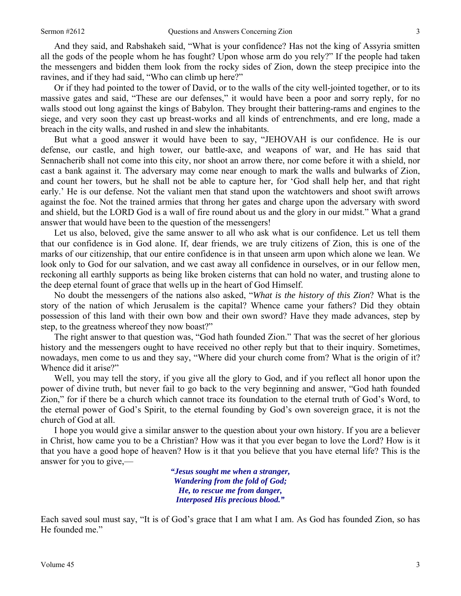And they said, and Rabshakeh said, "What is your confidence? Has not the king of Assyria smitten all the gods of the people whom he has fought? Upon whose arm do you rely?" If the people had taken the messengers and bidden them look from the rocky sides of Zion, down the steep precipice into the ravines, and if they had said, "Who can climb up here?"

 Or if they had pointed to the tower of David, or to the walls of the city well-jointed together, or to its massive gates and said, "These are our defenses," it would have been a poor and sorry reply, for no walls stood out long against the kings of Babylon. They brought their battering-rams and engines to the siege, and very soon they cast up breast-works and all kinds of entrenchments, and ere long, made a breach in the city walls, and rushed in and slew the inhabitants.

 But what a good answer it would have been to say, "JEHOVAH is our confidence. He is our defense, our castle, and high tower, our battle-axe, and weapons of war, and He has said that Sennacherib shall not come into this city, nor shoot an arrow there, nor come before it with a shield, nor cast a bank against it. The adversary may come near enough to mark the walls and bulwarks of Zion, and count her towers, but he shall not be able to capture her, for 'God shall help her, and that right early.' He is our defense. Not the valiant men that stand upon the watchtowers and shoot swift arrows against the foe. Not the trained armies that throng her gates and charge upon the adversary with sword and shield, but the LORD God is a wall of fire round about us and the glory in our midst." What a grand answer that would have been to the question of the messengers!

 Let us also, beloved, give the same answer to all who ask what is our confidence. Let us tell them that our confidence is in God alone. If, dear friends, we are truly citizens of Zion, this is one of the marks of our citizenship, that our entire confidence is in that unseen arm upon which alone we lean. We look only to God for our salvation, and we cast away all confidence in ourselves, or in our fellow men, reckoning all earthly supports as being like broken cisterns that can hold no water, and trusting alone to the deep eternal fount of grace that wells up in the heart of God Himself.

 No doubt the messengers of the nations also asked, "*What is the history of this Zion*? What is the story of the nation of which Jerusalem is the capital? Whence came your fathers? Did they obtain possession of this land with their own bow and their own sword? Have they made advances, step by step, to the greatness whereof they now boast?"

 The right answer to that question was, "God hath founded Zion." That was the secret of her glorious history and the messengers ought to have received no other reply but that to their inquiry. Sometimes, nowadays, men come to us and they say, "Where did your church come from? What is the origin of it? Whence did it arise?"

 Well, you may tell the story, if you give all the glory to God, and if you reflect all honor upon the power of divine truth, but never fail to go back to the very beginning and answer, "God hath founded Zion," for if there be a church which cannot trace its foundation to the eternal truth of God's Word, to the eternal power of God's Spirit, to the eternal founding by God's own sovereign grace, it is not the church of God at all.

 I hope you would give a similar answer to the question about your own history. If you are a believer in Christ, how came you to be a Christian? How was it that you ever began to love the Lord? How is it that you have a good hope of heaven? How is it that you believe that you have eternal life? This is the answer for you to give,—

> *"Jesus sought me when a stranger, Wandering from the fold of God; He, to rescue me from danger, Interposed His precious blood."*

Each saved soul must say, "It is of God's grace that I am what I am. As God has founded Zion, so has He founded me."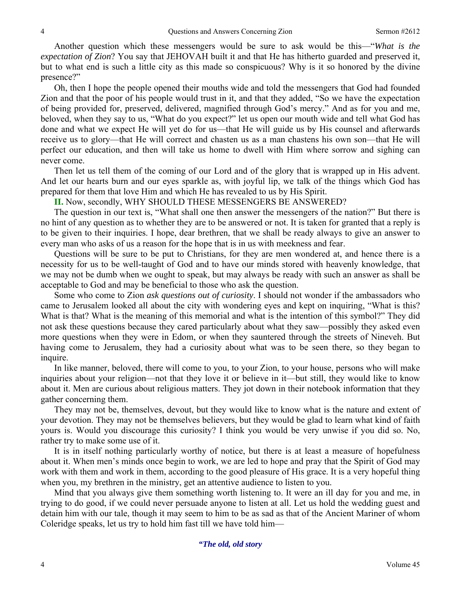Another question which these messengers would be sure to ask would be this—"*What is the expectation of Zion*? You say that JEHOVAH built it and that He has hitherto guarded and preserved it, but to what end is such a little city as this made so conspicuous? Why is it so honored by the divine presence?"

 Oh, then I hope the people opened their mouths wide and told the messengers that God had founded Zion and that the poor of his people would trust in it, and that they added, "So we have the expectation of being provided for, preserved, delivered, magnified through God's mercy." And as for you and me, beloved, when they say to us, "What do you expect?" let us open our mouth wide and tell what God has done and what we expect He will yet do for us—that He will guide us by His counsel and afterwards receive us to glory—that He will correct and chasten us as a man chastens his own son—that He will perfect our education, and then will take us home to dwell with Him where sorrow and sighing can never come.

 Then let us tell them of the coming of our Lord and of the glory that is wrapped up in His advent. And let our hearts burn and our eyes sparkle as, with joyful lip, we talk of the things which God has prepared for them that love Him and which He has revealed to us by His Spirit.

**II.** Now, secondly, WHY SHOULD THESE MESSENGERS BE ANSWERED?

 The question in our text is, "What shall one then answer the messengers of the nation?" But there is no hint of any question as to whether they are to be answered or not. It is taken for granted that a reply is to be given to their inquiries. I hope, dear brethren, that we shall be ready always to give an answer to every man who asks of us a reason for the hope that is in us with meekness and fear.

 Questions will be sure to be put to Christians, for they are men wondered at, and hence there is a necessity for us to be well-taught of God and to have our minds stored with heavenly knowledge, that we may not be dumb when we ought to speak, but may always be ready with such an answer as shall be acceptable to God and may be beneficial to those who ask the question.

 Some who come to Zion *ask questions out of curiosity*. I should not wonder if the ambassadors who came to Jerusalem looked all about the city with wondering eyes and kept on inquiring, "What is this? What is that? What is the meaning of this memorial and what is the intention of this symbol?" They did not ask these questions because they cared particularly about what they saw—possibly they asked even more questions when they were in Edom, or when they sauntered through the streets of Nineveh. But having come to Jerusalem, they had a curiosity about what was to be seen there, so they began to inquire.

 In like manner, beloved, there will come to you, to your Zion, to your house, persons who will make inquiries about your religion—not that they love it or believe in it—but still, they would like to know about it. Men are curious about religious matters. They jot down in their notebook information that they gather concerning them.

 They may not be, themselves, devout, but they would like to know what is the nature and extent of your devotion. They may not be themselves believers, but they would be glad to learn what kind of faith yours is. Would you discourage this curiosity? I think you would be very unwise if you did so. No, rather try to make some use of it.

 It is in itself nothing particularly worthy of notice, but there is at least a measure of hopefulness about it. When men's minds once begin to work, we are led to hope and pray that the Spirit of God may work with them and work in them, according to the good pleasure of His grace. It is a very hopeful thing when you, my brethren in the ministry, get an attentive audience to listen to you.

 Mind that you always give them something worth listening to. It were an ill day for you and me, in trying to do good, if we could never persuade anyone to listen at all. Let us hold the wedding guest and detain him with our tale, though it may seem to him to be as sad as that of the Ancient Mariner of whom Coleridge speaks, let us try to hold him fast till we have told him—

*"The old, old story*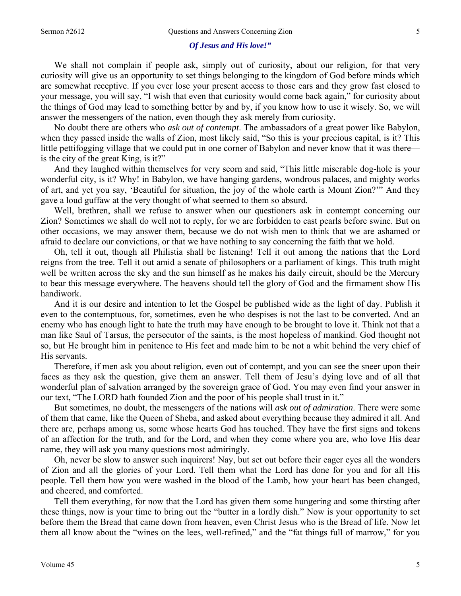#### *Of Jesus and His love!"*

We shall not complain if people ask, simply out of curiosity, about our religion, for that very curiosity will give us an opportunity to set things belonging to the kingdom of God before minds which are somewhat receptive. If you ever lose your present access to those ears and they grow fast closed to your message, you will say, "I wish that even that curiosity would come back again," for curiosity about the things of God may lead to something better by and by, if you know how to use it wisely. So, we will answer the messengers of the nation, even though they ask merely from curiosity.

 No doubt there are others who *ask out of contempt*. The ambassadors of a great power like Babylon, when they passed inside the walls of Zion, most likely said, "So this is your precious capital, is it? This little pettifogging village that we could put in one corner of Babylon and never know that it was there is the city of the great King, is it?"

 And they laughed within themselves for very scorn and said, "This little miserable dog-hole is your wonderful city, is it? Why! in Babylon, we have hanging gardens, wondrous palaces, and mighty works of art, and yet you say, 'Beautiful for situation, the joy of the whole earth is Mount Zion?'" And they gave a loud guffaw at the very thought of what seemed to them so absurd.

 Well, brethren, shall we refuse to answer when our questioners ask in contempt concerning our Zion? Sometimes we shall do well not to reply, for we are forbidden to cast pearls before swine. But on other occasions, we may answer them, because we do not wish men to think that we are ashamed or afraid to declare our convictions, or that we have nothing to say concerning the faith that we hold.

 Oh, tell it out, though all Philistia shall be listening! Tell it out among the nations that the Lord reigns from the tree. Tell it out amid a senate of philosophers or a parliament of kings. This truth might well be written across the sky and the sun himself as he makes his daily circuit, should be the Mercury to bear this message everywhere. The heavens should tell the glory of God and the firmament show His handiwork.

 And it is our desire and intention to let the Gospel be published wide as the light of day. Publish it even to the contemptuous, for, sometimes, even he who despises is not the last to be converted. And an enemy who has enough light to hate the truth may have enough to be brought to love it. Think not that a man like Saul of Tarsus, the persecutor of the saints, is the most hopeless of mankind. God thought not so, but He brought him in penitence to His feet and made him to be not a whit behind the very chief of His servants.

 Therefore, if men ask you about religion, even out of contempt, and you can see the sneer upon their faces as they ask the question, give them an answer. Tell them of Jesu's dying love and of all that wonderful plan of salvation arranged by the sovereign grace of God. You may even find your answer in our text, "The LORD hath founded Zion and the poor of his people shall trust in it."

 But sometimes, no doubt, the messengers of the nations will *ask out of admiration*. There were some of them that came, like the Queen of Sheba, and asked about everything because they admired it all. And there are, perhaps among us, some whose hearts God has touched. They have the first signs and tokens of an affection for the truth, and for the Lord, and when they come where you are, who love His dear name, they will ask you many questions most admiringly.

 Oh, never be slow to answer such inquirers! Nay, but set out before their eager eyes all the wonders of Zion and all the glories of your Lord. Tell them what the Lord has done for you and for all His people. Tell them how you were washed in the blood of the Lamb, how your heart has been changed, and cheered, and comforted.

 Tell them everything, for now that the Lord has given them some hungering and some thirsting after these things, now is your time to bring out the "butter in a lordly dish." Now is your opportunity to set before them the Bread that came down from heaven, even Christ Jesus who is the Bread of life. Now let them all know about the "wines on the lees, well-refined," and the "fat things full of marrow," for you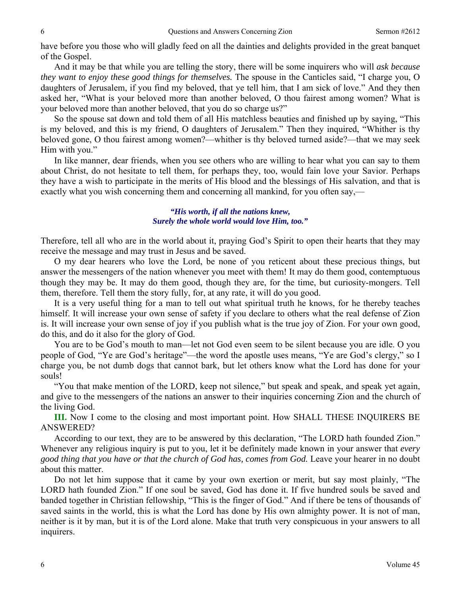have before you those who will gladly feed on all the dainties and delights provided in the great banquet of the Gospel.

 And it may be that while you are telling the story, there will be some inquirers who will *ask because they want to enjoy these good things for themselves.* The spouse in the Canticles said, "I charge you, O daughters of Jerusalem, if you find my beloved, that ye tell him, that I am sick of love." And they then asked her, "What is your beloved more than another beloved, O thou fairest among women? What is your beloved more than another beloved, that you do so charge us?"

 So the spouse sat down and told them of all His matchless beauties and finished up by saying, "This is my beloved, and this is my friend, O daughters of Jerusalem." Then they inquired, "Whither is thy beloved gone, O thou fairest among women?—whither is thy beloved turned aside?—that we may seek Him with you."

 In like manner, dear friends, when you see others who are willing to hear what you can say to them about Christ, do not hesitate to tell them, for perhaps they, too, would fain love your Savior. Perhaps they have a wish to participate in the merits of His blood and the blessings of His salvation, and that is exactly what you wish concerning them and concerning all mankind, for you often say,—

## *"His worth, if all the nations knew, Surely the whole world would love Him, too."*

Therefore, tell all who are in the world about it, praying God's Spirit to open their hearts that they may receive the message and may trust in Jesus and be saved.

 O my dear hearers who love the Lord, be none of you reticent about these precious things, but answer the messengers of the nation whenever you meet with them! It may do them good, contemptuous though they may be. It may do them good, though they are, for the time, but curiosity-mongers. Tell them, therefore. Tell them the story fully, for, at any rate, it will do you good.

 It is a very useful thing for a man to tell out what spiritual truth he knows, for he thereby teaches himself. It will increase your own sense of safety if you declare to others what the real defense of Zion is. It will increase your own sense of joy if you publish what is the true joy of Zion. For your own good, do this, and do it also for the glory of God.

 You are to be God's mouth to man—let not God even seem to be silent because you are idle. O you people of God, "Ye are God's heritage"—the word the apostle uses means, "Ye are God's clergy," so I charge you, be not dumb dogs that cannot bark, but let others know what the Lord has done for your souls!

 "You that make mention of the LORD, keep not silence," but speak and speak, and speak yet again, and give to the messengers of the nations an answer to their inquiries concerning Zion and the church of the living God.

**III.** Now I come to the closing and most important point. How SHALL THESE INQUIRERS BE ANSWERED?

 According to our text, they are to be answered by this declaration, "The LORD hath founded Zion." Whenever any religious inquiry is put to you, let it be definitely made known in your answer that *every good thing that you have or that the church of God has, comes from God.* Leave your hearer in no doubt about this matter.

 Do not let him suppose that it came by your own exertion or merit, but say most plainly, "The LORD hath founded Zion." If one soul be saved, God has done it. If five hundred souls be saved and banded together in Christian fellowship, "This is the finger of God." And if there be tens of thousands of saved saints in the world, this is what the Lord has done by His own almighty power. It is not of man, neither is it by man, but it is of the Lord alone. Make that truth very conspicuous in your answers to all inquirers.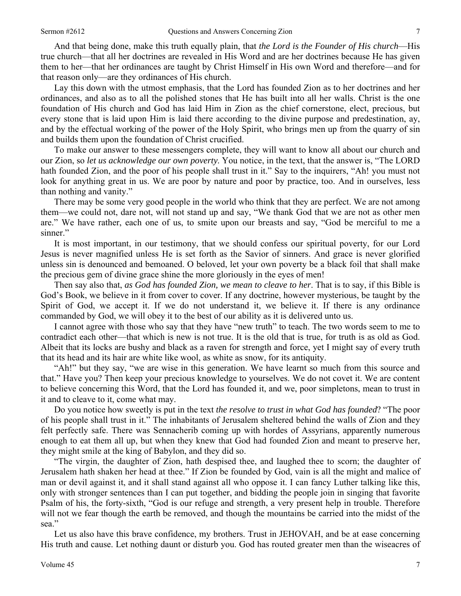And that being done, make this truth equally plain, that *the Lord is the Founder of His church*—His true church—that all her doctrines are revealed in His Word and are her doctrines because He has given them to her—that her ordinances are taught by Christ Himself in His own Word and therefore—and for that reason only—are they ordinances of His church.

 Lay this down with the utmost emphasis, that the Lord has founded Zion as to her doctrines and her ordinances, and also as to all the polished stones that He has built into all her walls. Christ is the one foundation of His church and God has laid Him in Zion as the chief cornerstone, elect, precious, but every stone that is laid upon Him is laid there according to the divine purpose and predestination, ay, and by the effectual working of the power of the Holy Spirit, who brings men up from the quarry of sin and builds them upon the foundation of Christ crucified.

 To make our answer to these messengers complete, they will want to know all about our church and our Zion, so *let us acknowledge our own poverty*. You notice, in the text, that the answer is, "The LORD hath founded Zion, and the poor of his people shall trust in it." Say to the inquirers, "Ah! you must not look for anything great in us. We are poor by nature and poor by practice, too. And in ourselves, less than nothing and vanity."

 There may be some very good people in the world who think that they are perfect. We are not among them—we could not, dare not, will not stand up and say, "We thank God that we are not as other men are." We have rather, each one of us, to smite upon our breasts and say, "God be merciful to me a sinner."

 It is most important, in our testimony, that we should confess our spiritual poverty, for our Lord Jesus is never magnified unless He is set forth as the Savior of sinners. And grace is never glorified unless sin is denounced and bemoaned. O beloved, let your own poverty be a black foil that shall make the precious gem of divine grace shine the more gloriously in the eyes of men!

 Then say also that, *as God has founded Zion, we mean to cleave to her*. That is to say, if this Bible is God's Book, we believe in it from cover to cover. If any doctrine, however mysterious, be taught by the Spirit of God, we accept it. If we do not understand it, we believe it. If there is any ordinance commanded by God, we will obey it to the best of our ability as it is delivered unto us.

 I cannot agree with those who say that they have "new truth" to teach. The two words seem to me to contradict each other—that which is new is not true. It is the old that is true, for truth is as old as God. Albeit that its locks are bushy and black as a raven for strength and force, yet I might say of every truth that its head and its hair are white like wool, as white as snow, for its antiquity.

 "Ah!" but they say, "we are wise in this generation. We have learnt so much from this source and that." Have you? Then keep your precious knowledge to yourselves. We do not covet it. We are content to believe concerning this Word, that the Lord has founded it, and we, poor simpletons, mean to trust in it and to cleave to it, come what may.

 Do you notice how sweetly is put in the text *the resolve to trust in what God has founded*? "The poor of his people shall trust in it." The inhabitants of Jerusalem sheltered behind the walls of Zion and they felt perfectly safe. There was Sennacherib coming up with hordes of Assyrians, apparently numerous enough to eat them all up, but when they knew that God had founded Zion and meant to preserve her, they might smile at the king of Babylon, and they did so.

 "The virgin, the daughter of Zion, hath despised thee, and laughed thee to scorn; the daughter of Jerusalem hath shaken her head at thee." If Zion be founded by God, vain is all the might and malice of man or devil against it, and it shall stand against all who oppose it. I can fancy Luther talking like this, only with stronger sentences than I can put together, and bidding the people join in singing that favorite Psalm of his, the forty-sixth, "God is our refuge and strength, a very present help in trouble. Therefore will not we fear though the earth be removed, and though the mountains be carried into the midst of the sea."

 Let us also have this brave confidence, my brothers. Trust in JEHOVAH, and be at ease concerning His truth and cause. Let nothing daunt or disturb you. God has routed greater men than the wiseacres of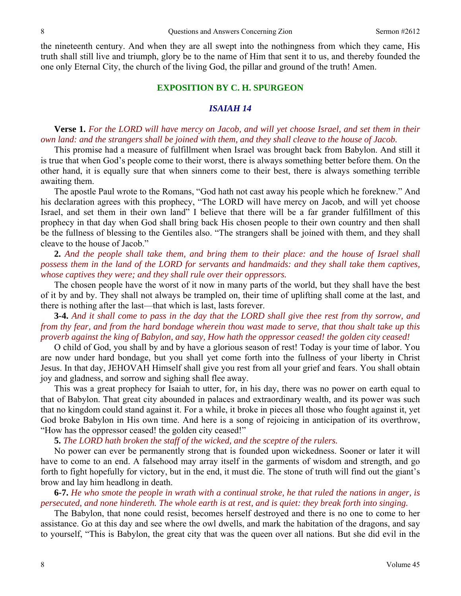the nineteenth century. And when they are all swept into the nothingness from which they came, His truth shall still live and triumph, glory be to the name of Him that sent it to us, and thereby founded the one only Eternal City, the church of the living God, the pillar and ground of the truth! Amen.

### **EXPOSITION BY C. H. SPURGEON**

#### *ISAIAH 14*

**Verse 1.** *For the LORD will have mercy on Jacob, and will yet choose Israel, and set them in their own land: and the strangers shall be joined with them, and they shall cleave to the house of Jacob.* 

This promise had a measure of fulfillment when Israel was brought back from Babylon. And still it is true that when God's people come to their worst, there is always something better before them. On the other hand, it is equally sure that when sinners come to their best, there is always something terrible awaiting them.

 The apostle Paul wrote to the Romans, "God hath not cast away his people which he foreknew." And his declaration agrees with this prophecy, "The LORD will have mercy on Jacob, and will yet choose Israel, and set them in their own land" I believe that there will be a far grander fulfillment of this prophecy in that day when God shall bring back His chosen people to their own country and then shall be the fullness of blessing to the Gentiles also. "The strangers shall be joined with them, and they shall cleave to the house of Jacob."

**2.** *And the people shall take them, and bring them to their place: and the house of Israel shall possess them in the land of the LORD for servants and handmaids: and they shall take them captives, whose captives they were; and they shall rule over their oppressors.* 

The chosen people have the worst of it now in many parts of the world, but they shall have the best of it by and by. They shall not always be trampled on, their time of uplifting shall come at the last, and there is nothing after the last—that which is last, lasts forever.

**3-4.** *And it shall come to pass in the day that the LORD shall give thee rest from thy sorrow, and from thy fear, and from the hard bondage wherein thou wast made to serve, that thou shalt take up this proverb against the king of Babylon, and say, How hath the oppressor ceased! the golden city ceased!* 

O child of God, you shall by and by have a glorious season of rest! Today is your time of labor. You are now under hard bondage, but you shall yet come forth into the fullness of your liberty in Christ Jesus. In that day, JEHOVAH Himself shall give you rest from all your grief and fears. You shall obtain joy and gladness, and sorrow and sighing shall flee away.

 This was a great prophecy for Isaiah to utter, for, in his day, there was no power on earth equal to that of Babylon. That great city abounded in palaces and extraordinary wealth, and its power was such that no kingdom could stand against it. For a while, it broke in pieces all those who fought against it, yet God broke Babylon in His own time. And here is a song of rejoicing in anticipation of its overthrow, "How has the oppressor ceased! the golden city ceased!"

**5.** *The LORD hath broken the staff of the wicked, and the sceptre of the rulers.* 

No power can ever be permanently strong that is founded upon wickedness. Sooner or later it will have to come to an end. A falsehood may array itself in the garments of wisdom and strength, and go forth to fight hopefully for victory, but in the end, it must die. The stone of truth will find out the giant's brow and lay him headlong in death.

**6-7.** *He who smote the people in wrath with a continual stroke, he that ruled the nations in anger, is persecuted, and none hindereth. The whole earth is at rest, and is quiet: they break forth into singing.* 

The Babylon, that none could resist, becomes herself destroyed and there is no one to come to her assistance. Go at this day and see where the owl dwells, and mark the habitation of the dragons, and say to yourself, "This is Babylon, the great city that was the queen over all nations. But she did evil in the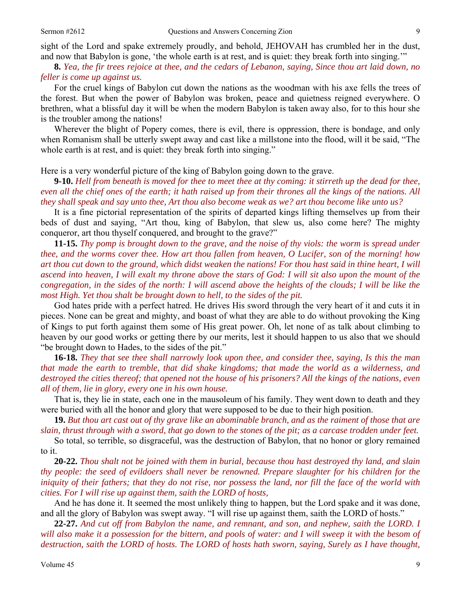sight of the Lord and spake extremely proudly, and behold, JEHOVAH has crumbled her in the dust, and now that Babylon is gone, 'the whole earth is at rest, and is quiet: they break forth into singing.'"

**8.** *Yea, the fir trees rejoice at thee, and the cedars of Lebanon, saying, Since thou art laid down, no feller is come up against us.* 

For the cruel kings of Babylon cut down the nations as the woodman with his axe fells the trees of the forest. But when the power of Babylon was broken, peace and quietness reigned everywhere. O brethren, what a blissful day it will be when the modern Babylon is taken away also, for to this hour she is the troubler among the nations!

 Wherever the blight of Popery comes, there is evil, there is oppression, there is bondage, and only when Romanism shall be utterly swept away and cast like a millstone into the flood, will it be said, "The whole earth is at rest, and is quiet: they break forth into singing."

Here is a very wonderful picture of the king of Babylon going down to the grave.

**9-10.** *Hell from beneath is moved for thee to meet thee at thy coming: it stirreth up the dead for thee, even all the chief ones of the earth; it hath raised up from their thrones all the kings of the nations. All they shall speak and say unto thee, Art thou also become weak as we? art thou become like unto us?* 

It is a fine pictorial representation of the spirits of departed kings lifting themselves up from their beds of dust and saying, "Art thou, king of Babylon, that slew us, also come here? The mighty conqueror, art thou thyself conquered, and brought to the grave?"

**11-15.** *Thy pomp is brought down to the grave, and the noise of thy viols: the worm is spread under thee, and the worms cover thee. How art thou fallen from heaven, O Lucifer, son of the morning! how art thou cut down to the ground, which didst weaken the nations! For thou hast said in thine heart, I will ascend into heaven, I will exalt my throne above the stars of God: I will sit also upon the mount of the congregation, in the sides of the north: I will ascend above the heights of the clouds; I will be like the most High. Yet thou shalt be brought down to hell, to the sides of the pit.* 

God hates pride with a perfect hatred. He drives His sword through the very heart of it and cuts it in pieces. None can be great and mighty, and boast of what they are able to do without provoking the King of Kings to put forth against them some of His great power. Oh, let none of as talk about climbing to heaven by our good works or getting there by our merits, lest it should happen to us also that we should "be brought down to Hades, to the sides of the pit."

**16-18.** *They that see thee shall narrowly look upon thee, and consider thee, saying, Is this the man that made the earth to tremble, that did shake kingdoms; that made the world as a wilderness, and destroyed the cities thereof; that opened not the house of his prisoners? All the kings of the nations, even all of them, lie in glory, every one in his own house.* 

That is, they lie in state, each one in the mausoleum of his family. They went down to death and they were buried with all the honor and glory that were supposed to be due to their high position.

**19.** *But thou art cast out of thy grave like an abominable branch, and as the raiment of those that are slain, thrust through with a sword, that go down to the stones of the pit; as a carcase trodden under feet.* 

So total, so terrible, so disgraceful, was the destruction of Babylon, that no honor or glory remained to it.

**20-22.** *Thou shalt not be joined with them in burial, because thou hast destroyed thy land, and slain thy people: the seed of evildoers shall never be renowned. Prepare slaughter for his children for the iniquity of their fathers; that they do not rise, nor possess the land, nor fill the face of the world with cities. For I will rise up against them, saith the LORD of hosts,* 

And he has done it. It seemed the most unlikely thing to happen, but the Lord spake and it was done, and all the glory of Babylon was swept away. "I will rise up against them, saith the LORD of hosts."

**22-27.** *And cut off from Babylon the name, and remnant, and son, and nephew, saith the LORD. I will also make it a possession for the bittern, and pools of water: and I will sweep it with the besom of destruction, saith the LORD of hosts. The LORD of hosts hath sworn, saying, Surely as I have thought,*